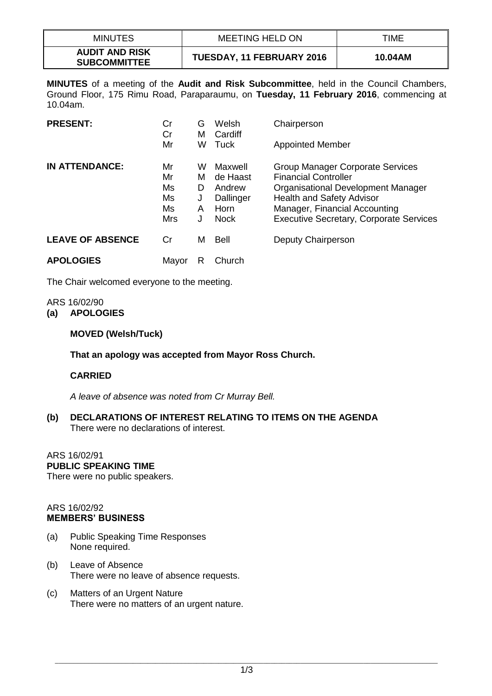| <b>MINUTES</b>                               | <b>MEETING HELD ON</b>           | TIME    |
|----------------------------------------------|----------------------------------|---------|
| <b>AUDIT AND RISK</b><br><b>SUBCOMMITTEE</b> | <b>TUESDAY, 11 FEBRUARY 2016</b> | 10.04AM |

**MINUTES** of a meeting of the **Audit and Risk Subcommittee**, held in the Council Chambers, Ground Floor, 175 Rimu Road, Paraparaumu, on **Tuesday, 11 February 2016**, commencing at 10.04am.

| <b>PRESENT:</b>         | Cr<br>Cr<br>Mr                    | G<br>м<br>W                | Welsh<br>Cardiff<br>Tuck                                          | Chairperson<br><b>Appointed Member</b>                                                                                                                                                                                       |
|-------------------------|-----------------------------------|----------------------------|-------------------------------------------------------------------|------------------------------------------------------------------------------------------------------------------------------------------------------------------------------------------------------------------------------|
| <b>IN ATTENDANCE:</b>   | Mr<br>Mr<br>Ms<br>Ms<br>Ms<br>Mrs | W<br>м<br>D<br>J<br>A<br>J | Maxwell<br>de Haast<br>Andrew<br>Dallinger<br>Horn<br><b>Nock</b> | Group Manager Corporate Services<br><b>Financial Controller</b><br>Organisational Development Manager<br><b>Health and Safety Advisor</b><br>Manager, Financial Accounting<br><b>Executive Secretary, Corporate Services</b> |
| <b>LEAVE OF ABSENCE</b> | Cr                                | M                          | Bell                                                              | Deputy Chairperson                                                                                                                                                                                                           |
| <b>APOLOGIES</b>        | Mayor                             |                            | Church                                                            |                                                                                                                                                                                                                              |

The Chair welcomed everyone to the meeting.

#### ARS 16/02/90

**(a) APOLOGIES**

## **MOVED (Welsh/Tuck)**

## **That an apology was accepted from Mayor Ross Church.**

## **CARRIED**

*A leave of absence was noted from Cr Murray Bell.*

**(b) DECLARATIONS OF INTEREST RELATING TO ITEMS ON THE AGENDA** There were no declarations of interest.

#### ARS 16/02/91

# **PUBLIC SPEAKING TIME**

There were no public speakers.

#### ARS 16/02/92 **MEMBERS' BUSINESS**

- (a) Public Speaking Time Responses None required.
- (b) Leave of Absence There were no leave of absence requests.
- (c) Matters of an Urgent Nature There were no matters of an urgent nature.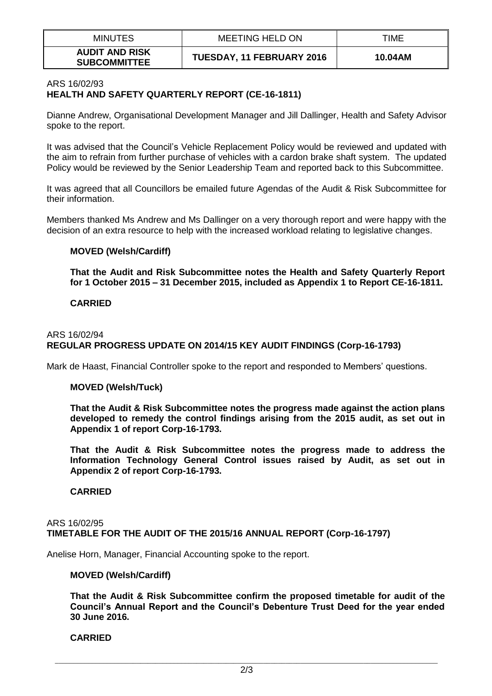| <b>MINUTES</b>                               | <b>MEETING HELD ON</b>    | TIME    |
|----------------------------------------------|---------------------------|---------|
| <b>AUDIT AND RISK</b><br><b>SUBCOMMITTEE</b> | TUESDAY, 11 FEBRUARY 2016 | 10.04AM |

## ARS 16/02/93 **HEALTH AND SAFETY QUARTERLY REPORT (CE-16-1811)**

Dianne Andrew, Organisational Development Manager and Jill Dallinger, Health and Safety Advisor spoke to the report.

It was advised that the Council's Vehicle Replacement Policy would be reviewed and updated with the aim to refrain from further purchase of vehicles with a cardon brake shaft system. The updated Policy would be reviewed by the Senior Leadership Team and reported back to this Subcommittee.

It was agreed that all Councillors be emailed future Agendas of the Audit & Risk Subcommittee for their information.

Members thanked Ms Andrew and Ms Dallinger on a very thorough report and were happy with the decision of an extra resource to help with the increased workload relating to legislative changes.

## **MOVED (Welsh/Cardiff)**

**That the Audit and Risk Subcommittee notes the Health and Safety Quarterly Report for 1 October 2015 – 31 December 2015, included as Appendix 1 to Report CE-16-1811.**

## **CARRIED**

#### ARS 16/02/94

# **REGULAR PROGRESS UPDATE ON 2014/15 KEY AUDIT FINDINGS (Corp-16-1793)**

Mark de Haast, Financial Controller spoke to the report and responded to Members' questions.

## **MOVED (Welsh/Tuck)**

**That the Audit & Risk Subcommittee notes the progress made against the action plans developed to remedy the control findings arising from the 2015 audit, as set out in Appendix 1 of report Corp-16-1793.**

**That the Audit & Risk Subcommittee notes the progress made to address the Information Technology General Control issues raised by Audit, as set out in Appendix 2 of report Corp-16-1793.** 

## **CARRIED**

#### ARS 16/02/95 **TIMETABLE FOR THE AUDIT OF THE 2015/16 ANNUAL REPORT (Corp-16-1797)**

Anelise Horn, Manager, Financial Accounting spoke to the report.

#### **MOVED (Welsh/Cardiff)**

**That the Audit & Risk Subcommittee confirm the proposed timetable for audit of the Council's Annual Report and the Council's Debenture Trust Deed for the year ended 30 June 2016.**

## **CARRIED**